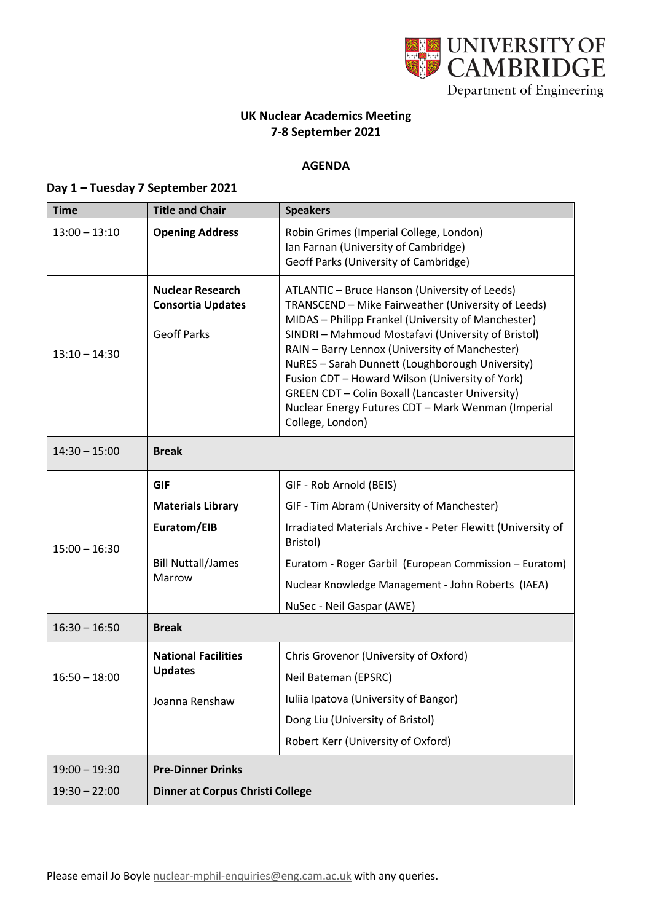

## **UK Nuclear Academics Meeting 7-8 September 2021**

## **AGENDA**

## **Day 1 – Tuesday 7 September 2021**

| <b>Time</b>     | <b>Title and Chair</b>                                                    | <b>Speakers</b>                                                                                                                                                                                                                                                                                                                                                                                                                                                                                             |
|-----------------|---------------------------------------------------------------------------|-------------------------------------------------------------------------------------------------------------------------------------------------------------------------------------------------------------------------------------------------------------------------------------------------------------------------------------------------------------------------------------------------------------------------------------------------------------------------------------------------------------|
| $13:00 - 13:10$ | <b>Opening Address</b>                                                    | Robin Grimes (Imperial College, London)<br>Ian Farnan (University of Cambridge)<br>Geoff Parks (University of Cambridge)                                                                                                                                                                                                                                                                                                                                                                                    |
| $13:10 - 14:30$ | <b>Nuclear Research</b><br><b>Consortia Updates</b><br><b>Geoff Parks</b> | ATLANTIC - Bruce Hanson (University of Leeds)<br>TRANSCEND - Mike Fairweather (University of Leeds)<br>MIDAS - Philipp Frankel (University of Manchester)<br>SINDRI - Mahmoud Mostafavi (University of Bristol)<br>RAIN - Barry Lennox (University of Manchester)<br>NuRES - Sarah Dunnett (Loughborough University)<br>Fusion CDT - Howard Wilson (University of York)<br><b>GREEN CDT - Colin Boxall (Lancaster University)</b><br>Nuclear Energy Futures CDT - Mark Wenman (Imperial<br>College, London) |
| $14:30 - 15:00$ | <b>Break</b>                                                              |                                                                                                                                                                                                                                                                                                                                                                                                                                                                                                             |
|                 | <b>GIF</b>                                                                | GIF - Rob Arnold (BEIS)                                                                                                                                                                                                                                                                                                                                                                                                                                                                                     |
|                 | <b>Materials Library</b>                                                  | GIF - Tim Abram (University of Manchester)                                                                                                                                                                                                                                                                                                                                                                                                                                                                  |
| $15:00 - 16:30$ | Euratom/EIB                                                               | Irradiated Materials Archive - Peter Flewitt (University of<br>Bristol)                                                                                                                                                                                                                                                                                                                                                                                                                                     |
|                 | <b>Bill Nuttall/James</b><br>Marrow                                       | Euratom - Roger Garbil (European Commission - Euratom)                                                                                                                                                                                                                                                                                                                                                                                                                                                      |
|                 |                                                                           | Nuclear Knowledge Management - John Roberts (IAEA)                                                                                                                                                                                                                                                                                                                                                                                                                                                          |
|                 |                                                                           | NuSec - Neil Gaspar (AWE)                                                                                                                                                                                                                                                                                                                                                                                                                                                                                   |
| $16:30 - 16:50$ | <b>Break</b>                                                              |                                                                                                                                                                                                                                                                                                                                                                                                                                                                                                             |
| $16:50 - 18:00$ | <b>National Facilities</b><br><b>Updates</b>                              | Chris Grovenor (University of Oxford)                                                                                                                                                                                                                                                                                                                                                                                                                                                                       |
|                 |                                                                           | Neil Bateman (EPSRC)                                                                                                                                                                                                                                                                                                                                                                                                                                                                                        |
|                 | Joanna Renshaw                                                            | Iuliia Ipatova (University of Bangor)                                                                                                                                                                                                                                                                                                                                                                                                                                                                       |
|                 |                                                                           | Dong Liu (University of Bristol)                                                                                                                                                                                                                                                                                                                                                                                                                                                                            |
|                 |                                                                           | Robert Kerr (University of Oxford)                                                                                                                                                                                                                                                                                                                                                                                                                                                                          |
| $19:00 - 19:30$ | <b>Pre-Dinner Drinks</b>                                                  |                                                                                                                                                                                                                                                                                                                                                                                                                                                                                                             |
| $19:30 - 22:00$ | <b>Dinner at Corpus Christi College</b>                                   |                                                                                                                                                                                                                                                                                                                                                                                                                                                                                                             |

Please email Jo Boyle [nuclear-mphil-enquiries@eng.cam.ac.uk](mailto:nuclear-mphil-enquiries@eng.cam.ac.uk) with any queries.